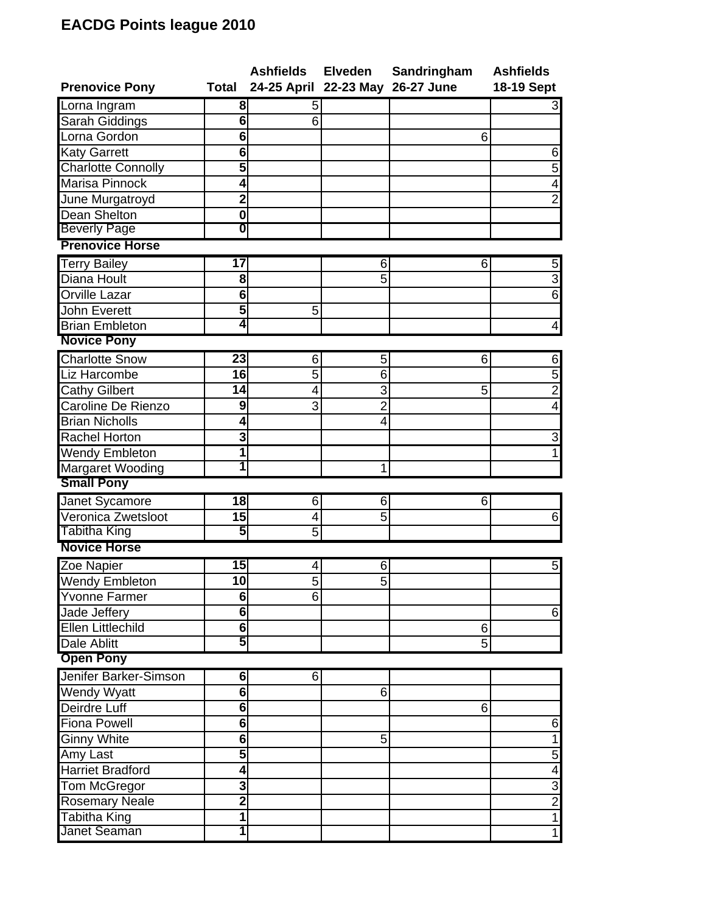## **EACDG Points league 2010**

|                           |                 | Ashfields Elveden                |                | Sandringham | <b>Ashfields</b>        |
|---------------------------|-----------------|----------------------------------|----------------|-------------|-------------------------|
| <b>Prenovice Pony</b>     | Total           | 24-25 April 22-23 May 26-27 June |                |             | 18-19 Sept              |
| Lorna Ingram              | 8               | 5                                |                |             | $3 \mid$                |
| Sarah Giddings            | 6               | 6                                |                |             |                         |
| Lorna Gordon              | $\overline{6}$  |                                  |                | 6           |                         |
| Katy Garrett              | 6               |                                  |                |             | $6 \mid$                |
| <b>Charlotte Connolly</b> | 5               |                                  |                |             | 5                       |
| Marisa Pinnock            | 4               |                                  |                |             | 4                       |
| June Murgatroyd           | $\overline{2}$  |                                  |                |             | $\overline{2}$          |
| Dean Shelton              | $\bf{0}$        |                                  |                |             |                         |
| <b>Beverly Page</b>       | 0               |                                  |                |             |                         |
| <b>Prenovice Horse</b>    |                 |                                  |                |             |                         |
| <b>Terry Bailey</b>       | $\overline{17}$ |                                  | 6              | 6           | $5 \mid$                |
| Diana Hoult               | 8               |                                  | 5              |             | $\overline{3}$          |
| Orville Lazar             | 6               |                                  |                |             | $\overline{6}$          |
| <b>John Everett</b>       | 5               | 5                                |                |             |                         |
| <b>Brian Embleton</b>     | 4               |                                  |                |             | $\vert 4 \vert$         |
| <b>Novice Pony</b>        |                 |                                  |                |             |                         |
| <b>Charlotte Snow</b>     | 23              | 6                                | 5              | 6           | $6 \mid$                |
| Liz Harcombe              | 16              | 5                                | 6              |             | $\overline{5}$          |
| <b>Cathy Gilbert</b>      | 14              | 4                                | 3              | 5           | $\overline{2}$          |
| Caroline De Rienzo        | 9               | 3                                | $\overline{2}$ |             | $\overline{\mathbf{A}}$ |
| <b>Brian Nicholls</b>     | 4               |                                  | $\overline{4}$ |             |                         |
| <b>Rachel Horton</b>      | 3               |                                  |                |             | $\overline{\mathbf{3}}$ |
| Wendy Embleton            | 1               |                                  |                |             |                         |
| <b>Margaret Wooding</b>   |                 |                                  | 1              |             |                         |
| <b>Small Pony</b>         |                 |                                  |                |             |                         |
| Janet Sycamore            | 18              | 6                                | 6              | 6           |                         |
| Veronica Zwetsloot        | 15              | 4                                | 5              |             | $6 \mid$                |
| <b>Tabitha King</b>       | 5               | 5                                |                |             |                         |
| <b>Novice Horse</b>       |                 |                                  |                |             |                         |
| Zoe Napier                | 15              | 4                                | 6              |             | $5 \mid$                |
| <b>Wendy Embleton</b>     | 10              | 5                                | 5              |             |                         |
| <b>Yvonne Farmer</b>      | $\overline{6}$  | 6                                |                |             |                         |
| Jade Jeffery              | 6               |                                  |                |             | $6 \mid$                |
| <b>Ellen Littlechild</b>  | $\overline{6}$  |                                  |                | 6           |                         |
| <b>Dale Ablitt</b>        | 5               |                                  |                | 5           |                         |
| <b>Open Pony</b>          |                 |                                  |                |             |                         |
| Jenifer Barker-Simson     | 6               | 6                                |                |             |                         |
| Wendy Wyatt               | 6               |                                  | 6              |             |                         |
| Deirdre Luff              | 6               |                                  |                | 6           |                         |
| <b>Fiona Powell</b>       | 6               |                                  |                |             | $6 \mid$                |
| <b>Ginny White</b>        | $\overline{6}$  |                                  | 5              |             | 1                       |
| Amy Last                  | 5               |                                  |                |             | $\overline{5}$          |
| <b>Harriet Bradford</b>   | 4               |                                  |                |             | $\overline{4}$          |
| <b>Tom McGregor</b>       | 3               |                                  |                |             | $\frac{3}{2}$           |
| <b>Rosemary Neale</b>     | $\overline{2}$  |                                  |                |             |                         |
| <b>Tabitha King</b>       | 1               |                                  |                |             | $\overline{1}$          |
| Janet Seaman              |                 |                                  |                |             | $\overline{1}$          |